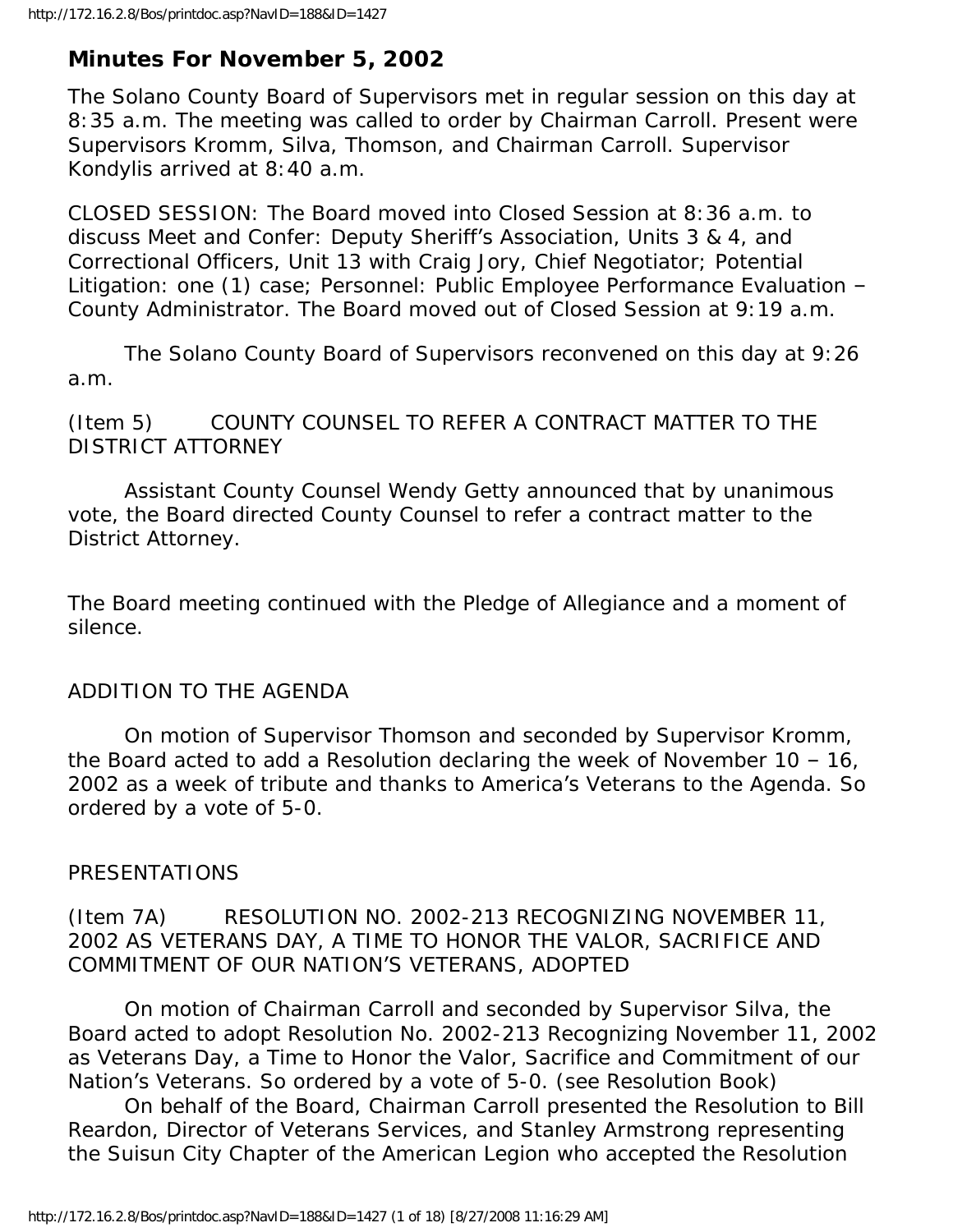# **Minutes For November 5, 2002**

The Solano County Board of Supervisors met in regular session on this day at 8:35 a.m. The meeting was called to order by Chairman Carroll. Present were Supervisors Kromm, Silva, Thomson, and Chairman Carroll. Supervisor Kondylis arrived at 8:40 a.m.

CLOSED SESSION: The Board moved into Closed Session at 8:36 a.m. to discuss Meet and Confer: Deputy Sheriff's Association, Units 3 & 4, and Correctional Officers, Unit 13 with Craig Jory, Chief Negotiator; Potential Litigation: one (1) case; Personnel: Public Employee Performance Evaluation – County Administrator. The Board moved out of Closed Session at 9:19 a.m.

 The Solano County Board of Supervisors reconvened on this day at 9:26 a.m.

(Item 5) COUNTY COUNSEL TO REFER A CONTRACT MATTER TO THE DISTRICT ATTORNEY

 Assistant County Counsel Wendy Getty announced that by unanimous vote, the Board directed County Counsel to refer a contract matter to the District Attorney.

The Board meeting continued with the Pledge of Allegiance and a moment of silence.

# ADDITION TO THE AGENDA

 On motion of Supervisor Thomson and seconded by Supervisor Kromm, the Board acted to add a Resolution declaring the week of November 10 – 16, 2002 as a week of tribute and thanks to America's Veterans to the Agenda. So ordered by a vote of 5-0.

# PRESENTATIONS

# (Item 7A) RESOLUTION NO. 2002-213 RECOGNIZING NOVEMBER 11, 2002 AS VETERANS DAY, A TIME TO HONOR THE VALOR, SACRIFICE AND COMMITMENT OF OUR NATION'S VETERANS, ADOPTED

 On motion of Chairman Carroll and seconded by Supervisor Silva, the Board acted to adopt Resolution No. 2002-213 Recognizing November 11, 2002 as Veterans Day, a Time to Honor the Valor, Sacrifice and Commitment of our Nation's Veterans. So ordered by a vote of 5-0. (see Resolution Book)

 On behalf of the Board, Chairman Carroll presented the Resolution to Bill Reardon, Director of Veterans Services, and Stanley Armstrong representing the Suisun City Chapter of the American Legion who accepted the Resolution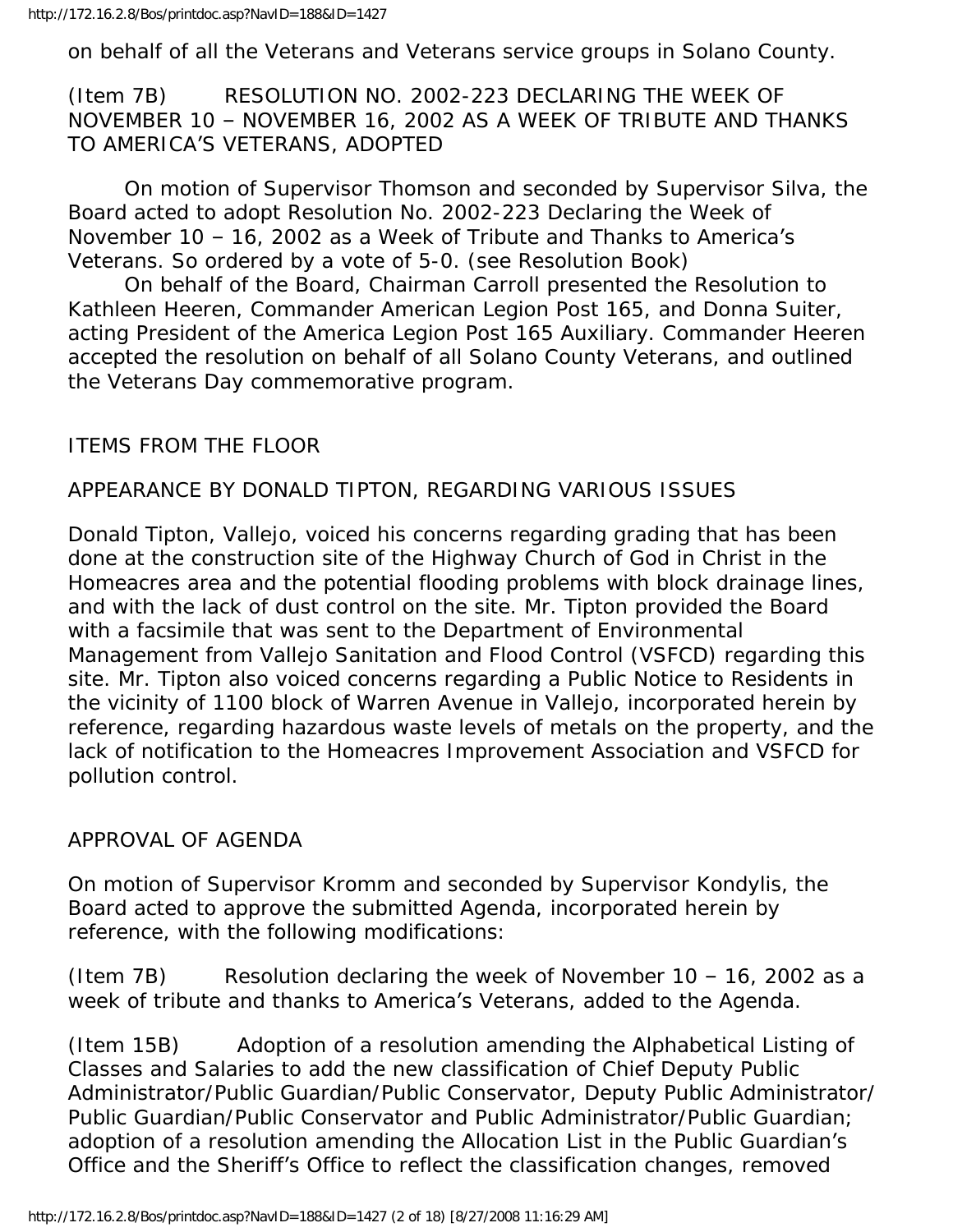on behalf of all the Veterans and Veterans service groups in Solano County.

(Item 7B) RESOLUTION NO. 2002-223 DECLARING THE WEEK OF NOVEMBER 10 – NOVEMBER 16, 2002 AS A WEEK OF TRIBUTE AND THANKS TO AMERICA'S VETERANS, ADOPTED

 On motion of Supervisor Thomson and seconded by Supervisor Silva, the Board acted to adopt Resolution No. 2002-223 Declaring the Week of November 10 – 16, 2002 as a Week of Tribute and Thanks to America's Veterans. So ordered by a vote of 5-0. (see Resolution Book)

 On behalf of the Board, Chairman Carroll presented the Resolution to Kathleen Heeren, Commander American Legion Post 165, and Donna Suiter, acting President of the America Legion Post 165 Auxiliary. Commander Heeren accepted the resolution on behalf of all Solano County Veterans, and outlined the Veterans Day commemorative program.

# ITEMS FROM THE FLOOR

# APPEARANCE BY DONALD TIPTON, REGARDING VARIOUS ISSUES

Donald Tipton, Vallejo, voiced his concerns regarding grading that has been done at the construction site of the Highway Church of God in Christ in the Homeacres area and the potential flooding problems with block drainage lines, and with the lack of dust control on the site. Mr. Tipton provided the Board with a facsimile that was sent to the Department of Environmental Management from Vallejo Sanitation and Flood Control (VSFCD) regarding this site. Mr. Tipton also voiced concerns regarding a Public Notice to Residents in the vicinity of 1100 block of Warren Avenue in Vallejo, incorporated herein by reference, regarding hazardous waste levels of metals on the property, and the lack of notification to the Homeacres Improvement Association and VSFCD for pollution control.

### APPROVAL OF AGENDA

On motion of Supervisor Kromm and seconded by Supervisor Kondylis, the Board acted to approve the submitted Agenda, incorporated herein by reference, with the following modifications:

(Item 7B) Resolution declaring the week of November  $10 - 16$ , 2002 as a week of tribute and thanks to America's Veterans, added to the Agenda.

(Item 15B) Adoption of a resolution amending the Alphabetical Listing of Classes and Salaries to add the new classification of Chief Deputy Public Administrator/Public Guardian/Public Conservator, Deputy Public Administrator/ Public Guardian/Public Conservator and Public Administrator/Public Guardian; adoption of a resolution amending the Allocation List in the Public Guardian's Office and the Sheriff's Office to reflect the classification changes, removed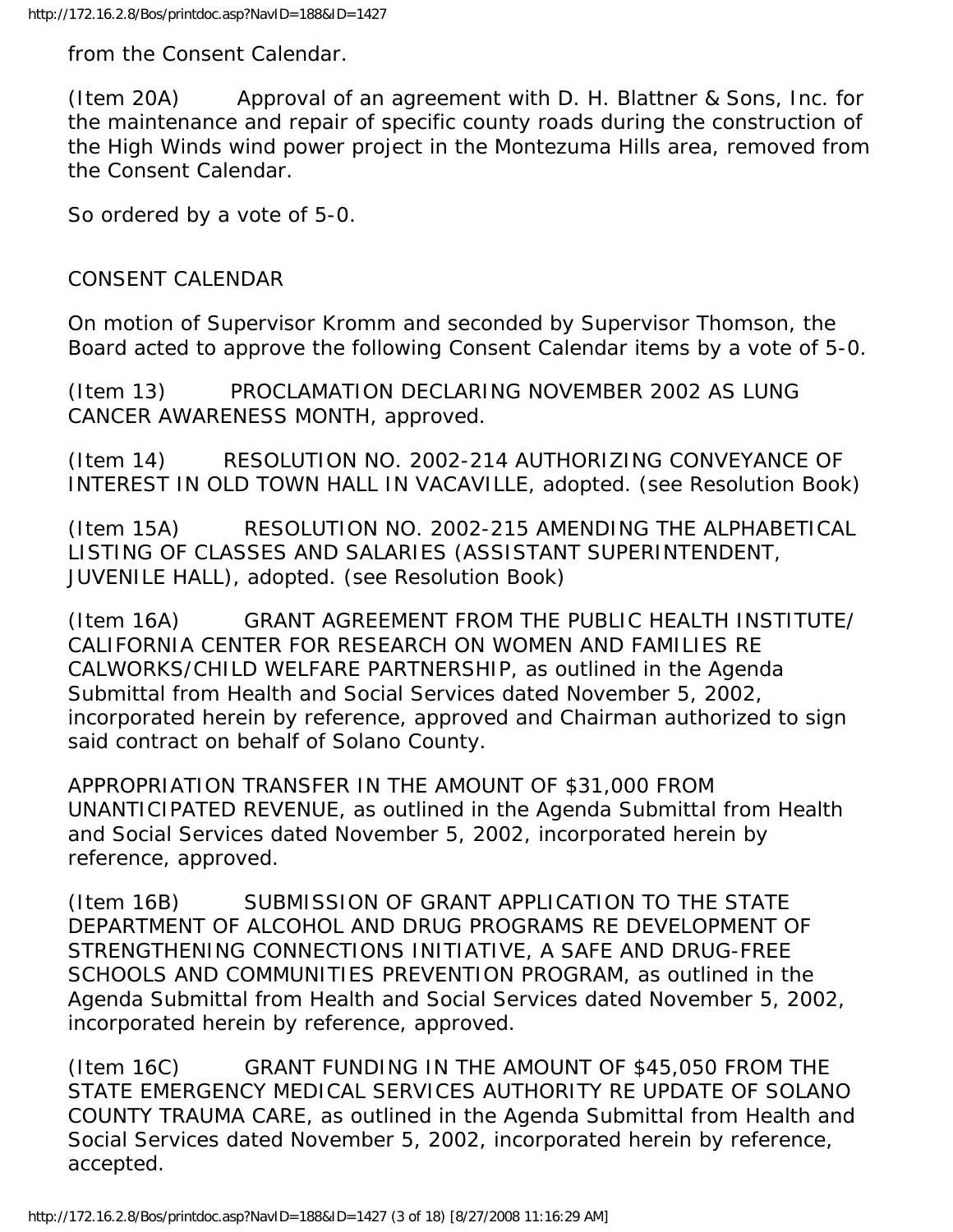from the Consent Calendar.

(Item 20A) Approval of an agreement with D. H. Blattner & Sons, Inc. for the maintenance and repair of specific county roads during the construction of the High Winds wind power project in the Montezuma Hills area, removed from the Consent Calendar.

So ordered by a vote of 5-0.

#### CONSENT CALENDAR

On motion of Supervisor Kromm and seconded by Supervisor Thomson, the Board acted to approve the following Consent Calendar items by a vote of 5-0.

(Item 13) PROCLAMATION DECLARING NOVEMBER 2002 AS LUNG CANCER AWARENESS MONTH, approved.

(Item 14) RESOLUTION NO. 2002-214 AUTHORIZING CONVEYANCE OF INTEREST IN OLD TOWN HALL IN VACAVILLE, adopted. (see Resolution Book)

(Item 15A) RESOLUTION NO. 2002-215 AMENDING THE ALPHABETICAL LISTING OF CLASSES AND SALARIES (ASSISTANT SUPERINTENDENT, JUVENILE HALL), adopted. (see Resolution Book)

(Item 16A) GRANT AGREEMENT FROM THE PUBLIC HEALTH INSTITUTE/ CALIFORNIA CENTER FOR RESEARCH ON WOMEN AND FAMILIES RE CALWORKS/CHILD WELFARE PARTNERSHIP, as outlined in the Agenda Submittal from Health and Social Services dated November 5, 2002, incorporated herein by reference, approved and Chairman authorized to sign said contract on behalf of Solano County.

APPROPRIATION TRANSFER IN THE AMOUNT OF \$31,000 FROM UNANTICIPATED REVENUE, as outlined in the Agenda Submittal from Health and Social Services dated November 5, 2002, incorporated herein by reference, approved.

(Item 16B) SUBMISSION OF GRANT APPLICATION TO THE STATE DEPARTMENT OF ALCOHOL AND DRUG PROGRAMS RE DEVELOPMENT OF STRENGTHENING CONNECTIONS INITIATIVE, A SAFE AND DRUG-FREE SCHOOLS AND COMMUNITIES PREVENTION PROGRAM, as outlined in the Agenda Submittal from Health and Social Services dated November 5, 2002, incorporated herein by reference, approved.

(Item 16C) GRANT FUNDING IN THE AMOUNT OF \$45,050 FROM THE STATE EMERGENCY MEDICAL SERVICES AUTHORITY RE UPDATE OF SOLANO COUNTY TRAUMA CARE, as outlined in the Agenda Submittal from Health and Social Services dated November 5, 2002, incorporated herein by reference, accepted.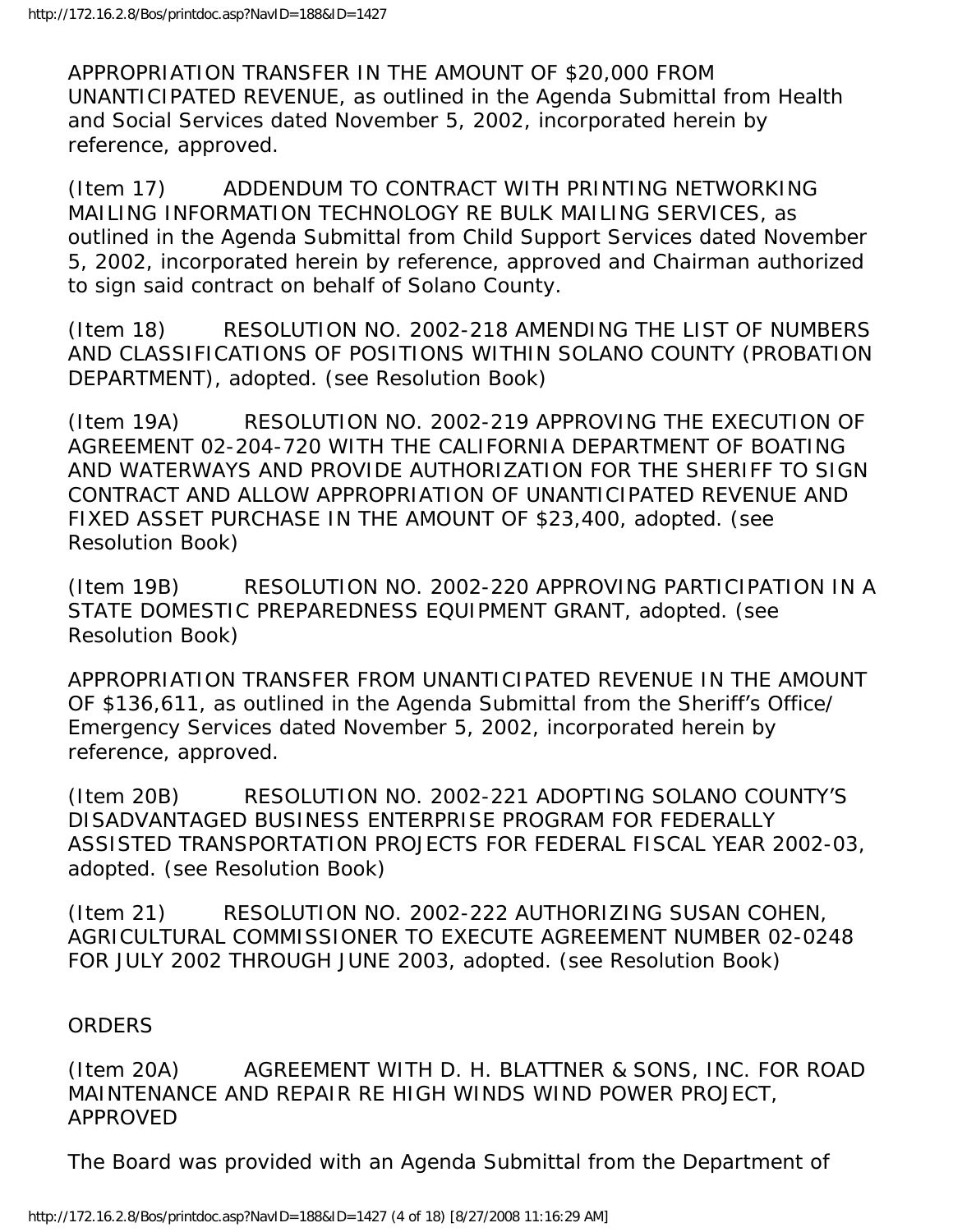APPROPRIATION TRANSFER IN THE AMOUNT OF \$20,000 FROM UNANTICIPATED REVENUE, as outlined in the Agenda Submittal from Health and Social Services dated November 5, 2002, incorporated herein by reference, approved.

(Item 17) ADDENDUM TO CONTRACT WITH PRINTING NETWORKING MAILING INFORMATION TECHNOLOGY RE BULK MAILING SERVICES, as outlined in the Agenda Submittal from Child Support Services dated November 5, 2002, incorporated herein by reference, approved and Chairman authorized to sign said contract on behalf of Solano County.

(Item 18) RESOLUTION NO. 2002-218 AMENDING THE LIST OF NUMBERS AND CLASSIFICATIONS OF POSITIONS WITHIN SOLANO COUNTY (PROBATION DEPARTMENT), adopted. (see Resolution Book)

(Item 19A) RESOLUTION NO. 2002-219 APPROVING THE EXECUTION OF AGREEMENT 02-204-720 WITH THE CALIFORNIA DEPARTMENT OF BOATING AND WATERWAYS AND PROVIDE AUTHORIZATION FOR THE SHERIFF TO SIGN CONTRACT AND ALLOW APPROPRIATION OF UNANTICIPATED REVENUE AND FIXED ASSET PURCHASE IN THE AMOUNT OF \$23,400, adopted. (see Resolution Book)

(Item 19B) RESOLUTION NO. 2002-220 APPROVING PARTICIPATION IN A STATE DOMESTIC PREPAREDNESS EQUIPMENT GRANT, adopted. (see Resolution Book)

APPROPRIATION TRANSFER FROM UNANTICIPATED REVENUE IN THE AMOUNT OF \$136,611, as outlined in the Agenda Submittal from the Sheriff's Office/ Emergency Services dated November 5, 2002, incorporated herein by reference, approved.

(Item 20B) RESOLUTION NO. 2002-221 ADOPTING SOLANO COUNTY'S DISADVANTAGED BUSINESS ENTERPRISE PROGRAM FOR FEDERALLY ASSISTED TRANSPORTATION PROJECTS FOR FEDERAL FISCAL YEAR 2002-03, adopted. (see Resolution Book)

(Item 21) RESOLUTION NO. 2002-222 AUTHORIZING SUSAN COHEN, AGRICULTURAL COMMISSIONER TO EXECUTE AGREEMENT NUMBER 02-0248 FOR JULY 2002 THROUGH JUNE 2003, adopted. (see Resolution Book)

#### **ORDERS**

(Item 20A) AGREEMENT WITH D. H. BLATTNER & SONS, INC. FOR ROAD MAINTENANCE AND REPAIR RE HIGH WINDS WIND POWER PROJECT, APPROVED

The Board was provided with an Agenda Submittal from the Department of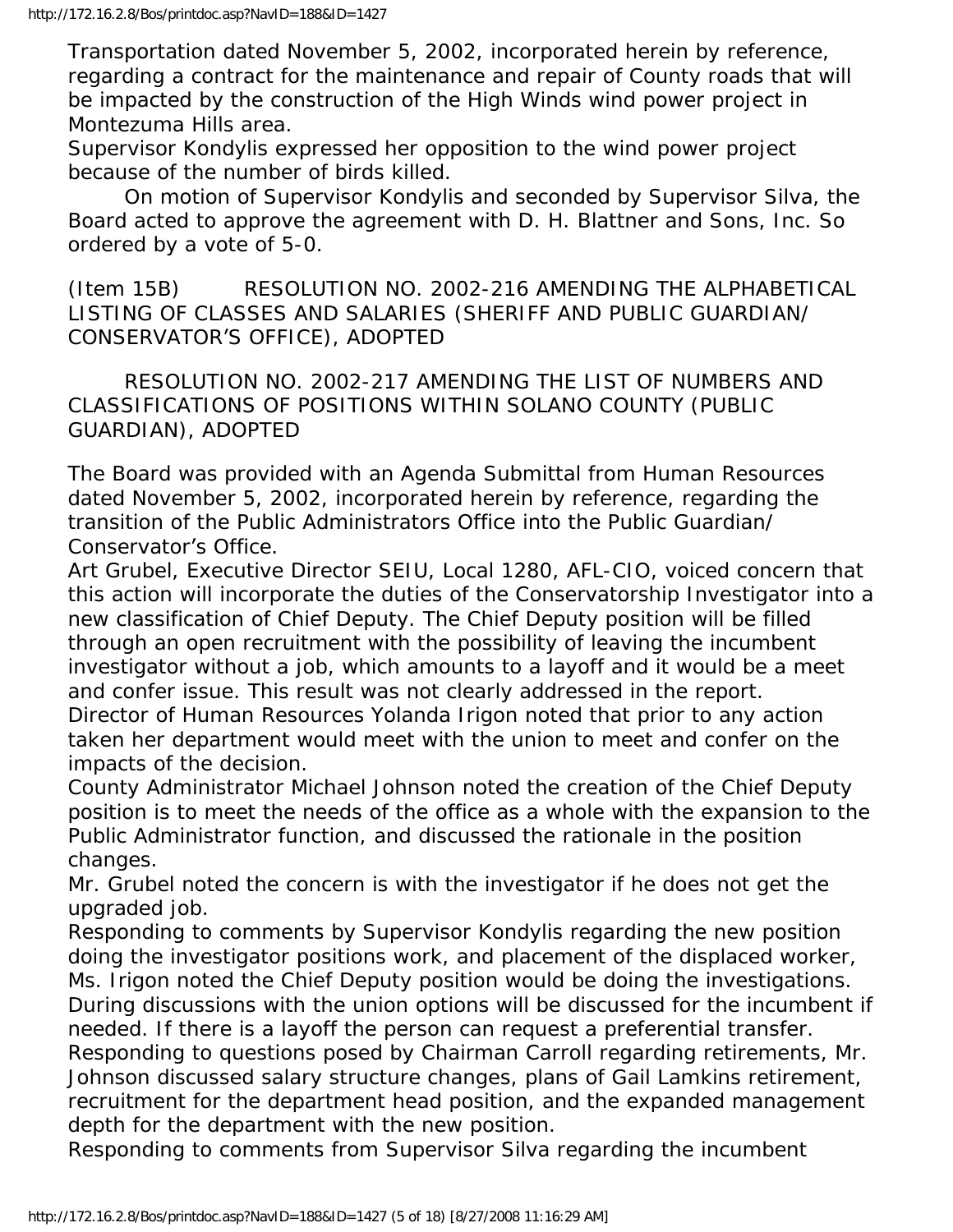Transportation dated November 5, 2002, incorporated herein by reference, regarding a contract for the maintenance and repair of County roads that will be impacted by the construction of the High Winds wind power project in Montezuma Hills area.

Supervisor Kondylis expressed her opposition to the wind power project because of the number of birds killed.

 On motion of Supervisor Kondylis and seconded by Supervisor Silva, the Board acted to approve the agreement with D. H. Blattner and Sons, Inc. So ordered by a vote of 5-0.

(Item 15B) RESOLUTION NO. 2002-216 AMENDING THE ALPHABETICAL LISTING OF CLASSES AND SALARIES (SHERIFF AND PUBLIC GUARDIAN/ CONSERVATOR'S OFFICE), ADOPTED

 RESOLUTION NO. 2002-217 AMENDING THE LIST OF NUMBERS AND CLASSIFICATIONS OF POSITIONS WITHIN SOLANO COUNTY (PUBLIC GUARDIAN), ADOPTED

The Board was provided with an Agenda Submittal from Human Resources dated November 5, 2002, incorporated herein by reference, regarding the transition of the Public Administrators Office into the Public Guardian/ Conservator's Office.

Art Grubel, Executive Director SEIU, Local 1280, AFL-CIO, voiced concern that this action will incorporate the duties of the Conservatorship Investigator into a new classification of Chief Deputy. The Chief Deputy position will be filled through an open recruitment with the possibility of leaving the incumbent investigator without a job, which amounts to a layoff and it would be a meet and confer issue. This result was not clearly addressed in the report. Director of Human Resources Yolanda Irigon noted that prior to any action

taken her department would meet with the union to meet and confer on the impacts of the decision.

County Administrator Michael Johnson noted the creation of the Chief Deputy position is to meet the needs of the office as a whole with the expansion to the Public Administrator function, and discussed the rationale in the position changes.

Mr. Grubel noted the concern is with the investigator if he does not get the upgraded job.

Responding to comments by Supervisor Kondylis regarding the new position doing the investigator positions work, and placement of the displaced worker, Ms. Irigon noted the Chief Deputy position would be doing the investigations. During discussions with the union options will be discussed for the incumbent if needed. If there is a layoff the person can request a preferential transfer. Responding to questions posed by Chairman Carroll regarding retirements, Mr. Johnson discussed salary structure changes, plans of Gail Lamkins retirement, recruitment for the department head position, and the expanded management depth for the department with the new position.

Responding to comments from Supervisor Silva regarding the incumbent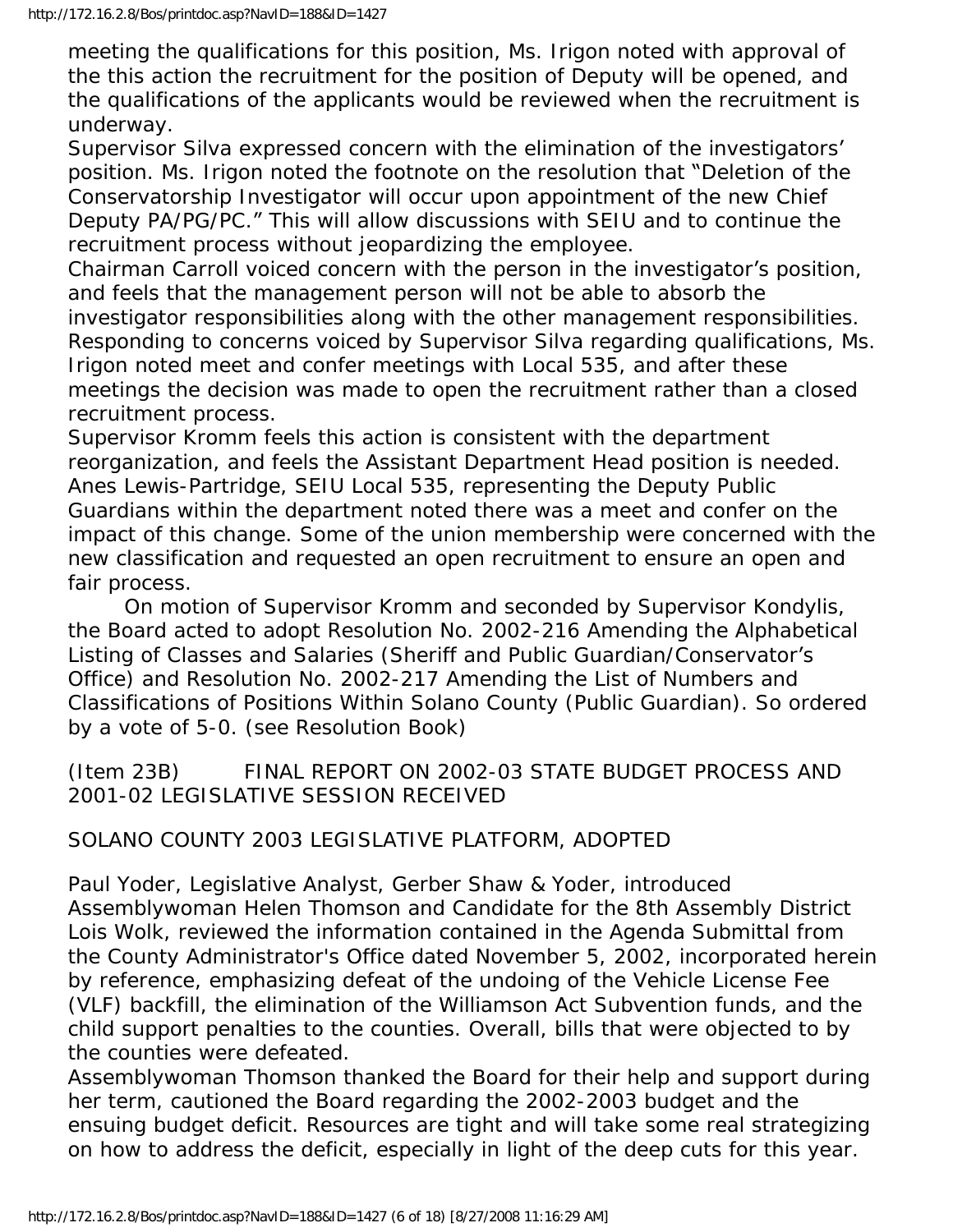meeting the qualifications for this position, Ms. Irigon noted with approval of the this action the recruitment for the position of Deputy will be opened, and the qualifications of the applicants would be reviewed when the recruitment is underway.

Supervisor Silva expressed concern with the elimination of the investigators' position. Ms. Irigon noted the footnote on the resolution that "Deletion of the Conservatorship Investigator will occur upon appointment of the new Chief Deputy PA/PG/PC." This will allow discussions with SEIU and to continue the recruitment process without jeopardizing the employee.

Chairman Carroll voiced concern with the person in the investigator's position, and feels that the management person will not be able to absorb the investigator responsibilities along with the other management responsibilities. Responding to concerns voiced by Supervisor Silva regarding qualifications, Ms. Irigon noted meet and confer meetings with Local 535, and after these meetings the decision was made to open the recruitment rather than a closed recruitment process.

Supervisor Kromm feels this action is consistent with the department reorganization, and feels the Assistant Department Head position is needed. Anes Lewis-Partridge, SEIU Local 535, representing the Deputy Public Guardians within the department noted there was a meet and confer on the impact of this change. Some of the union membership were concerned with the new classification and requested an open recruitment to ensure an open and fair process.

 On motion of Supervisor Kromm and seconded by Supervisor Kondylis, the Board acted to adopt Resolution No. 2002-216 Amending the Alphabetical Listing of Classes and Salaries (Sheriff and Public Guardian/Conservator's Office) and Resolution No. 2002-217 Amending the List of Numbers and Classifications of Positions Within Solano County (Public Guardian). So ordered by a vote of 5-0. (see Resolution Book)

(Item 23B) FINAL REPORT ON 2002-03 STATE BUDGET PROCESS AND 2001-02 LEGISLATIVE SESSION RECEIVED

### SOLANO COUNTY 2003 LEGISLATIVE PLATFORM, ADOPTED

Paul Yoder, Legislative Analyst, Gerber Shaw & Yoder, introduced Assemblywoman Helen Thomson and Candidate for the 8th Assembly District Lois Wolk, reviewed the information contained in the Agenda Submittal from the County Administrator's Office dated November 5, 2002, incorporated herein by reference, emphasizing defeat of the undoing of the Vehicle License Fee (VLF) backfill, the elimination of the Williamson Act Subvention funds, and the child support penalties to the counties. Overall, bills that were objected to by the counties were defeated.

Assemblywoman Thomson thanked the Board for their help and support during her term, cautioned the Board regarding the 2002-2003 budget and the ensuing budget deficit. Resources are tight and will take some real strategizing on how to address the deficit, especially in light of the deep cuts for this year.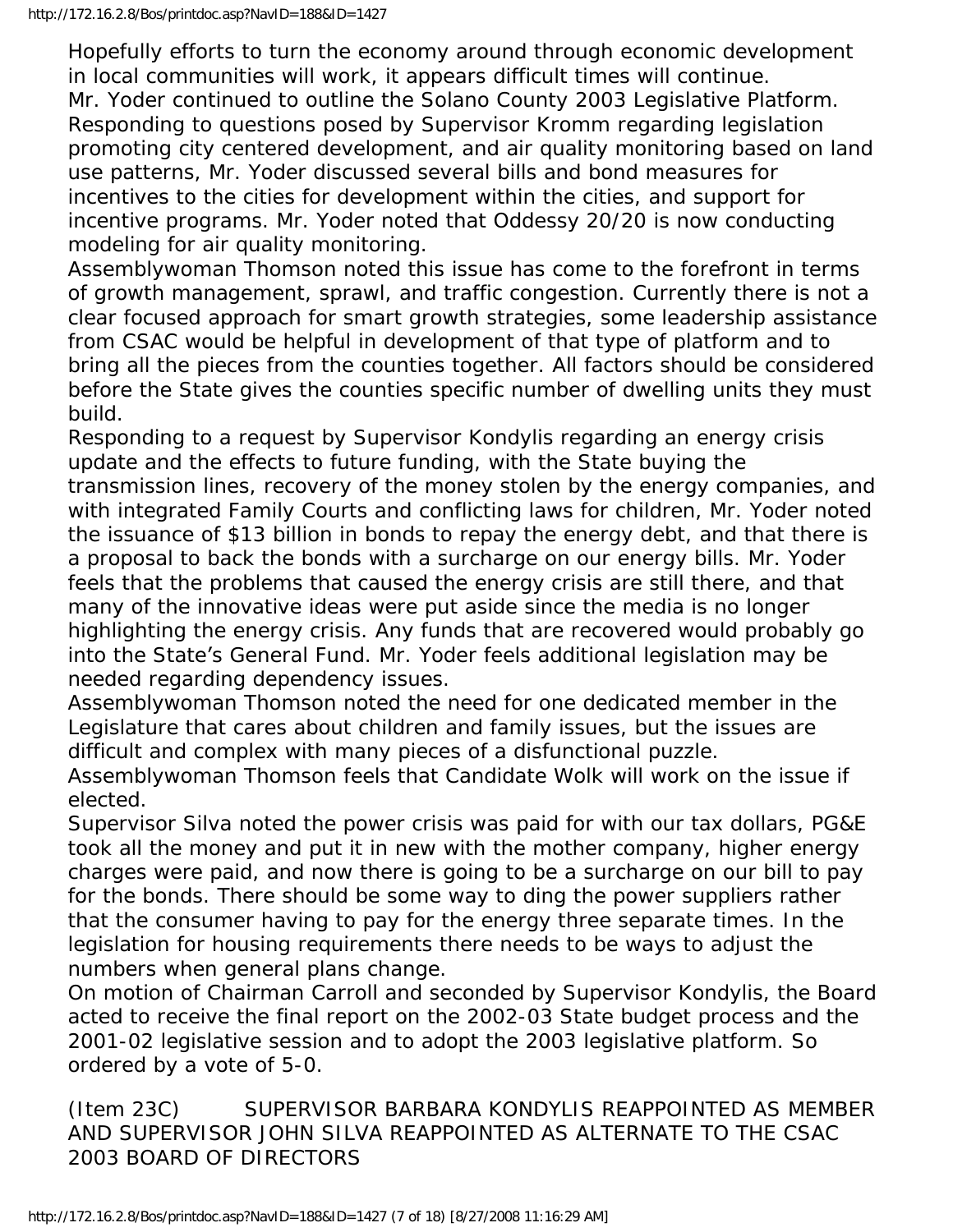Hopefully efforts to turn the economy around through economic development in local communities will work, it appears difficult times will continue. Mr. Yoder continued to outline the Solano County 2003 Legislative Platform. Responding to questions posed by Supervisor Kromm regarding legislation promoting city centered development, and air quality monitoring based on land use patterns, Mr. Yoder discussed several bills and bond measures for incentives to the cities for development within the cities, and support for incentive programs. Mr. Yoder noted that Oddessy 20/20 is now conducting modeling for air quality monitoring.

Assemblywoman Thomson noted this issue has come to the forefront in terms of growth management, sprawl, and traffic congestion. Currently there is not a clear focused approach for smart growth strategies, some leadership assistance from CSAC would be helpful in development of that type of platform and to bring all the pieces from the counties together. All factors should be considered before the State gives the counties specific number of dwelling units they must build.

Responding to a request by Supervisor Kondylis regarding an energy crisis update and the effects to future funding, with the State buying the transmission lines, recovery of the money stolen by the energy companies, and with integrated Family Courts and conflicting laws for children, Mr. Yoder noted the issuance of \$13 billion in bonds to repay the energy debt, and that there is a proposal to back the bonds with a surcharge on our energy bills. Mr. Yoder feels that the problems that caused the energy crisis are still there, and that many of the innovative ideas were put aside since the media is no longer highlighting the energy crisis. Any funds that are recovered would probably go into the State's General Fund. Mr. Yoder feels additional legislation may be needed regarding dependency issues.

Assemblywoman Thomson noted the need for one dedicated member in the Legislature that cares about children and family issues, but the issues are difficult and complex with many pieces of a disfunctional puzzle.

Assemblywoman Thomson feels that Candidate Wolk will work on the issue if elected.

Supervisor Silva noted the power crisis was paid for with our tax dollars, PG&E took all the money and put it in new with the mother company, higher energy charges were paid, and now there is going to be a surcharge on our bill to pay for the bonds. There should be some way to ding the power suppliers rather that the consumer having to pay for the energy three separate times. In the legislation for housing requirements there needs to be ways to adjust the numbers when general plans change.

On motion of Chairman Carroll and seconded by Supervisor Kondylis, the Board acted to receive the final report on the 2002-03 State budget process and the 2001-02 legislative session and to adopt the 2003 legislative platform. So ordered by a vote of 5-0.

(Item 23C) SUPERVISOR BARBARA KONDYLIS REAPPOINTED AS MEMBER AND SUPERVISOR JOHN SILVA REAPPOINTED AS ALTERNATE TO THE CSAC 2003 BOARD OF DIRECTORS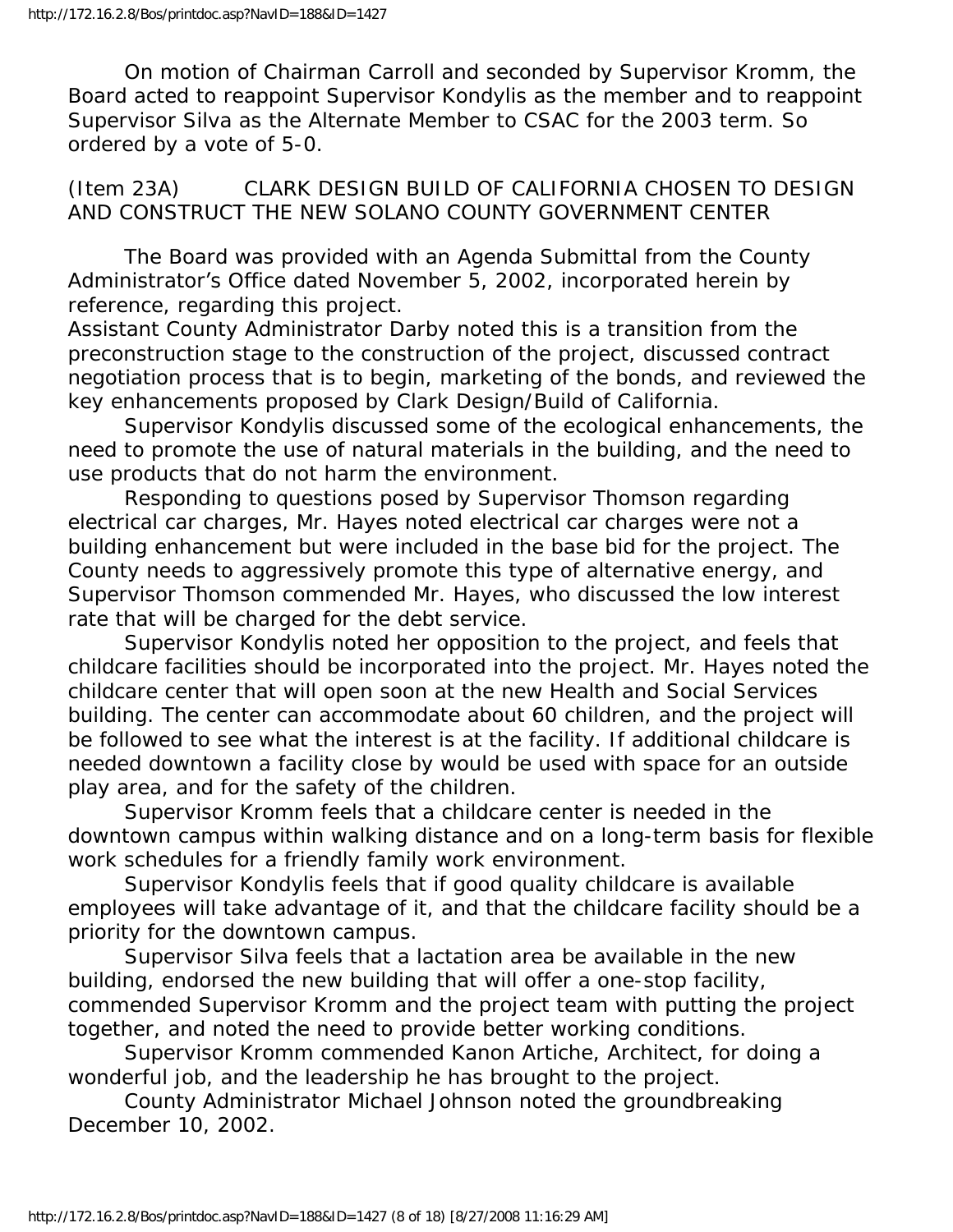On motion of Chairman Carroll and seconded by Supervisor Kromm, the Board acted to reappoint Supervisor Kondylis as the member and to reappoint Supervisor Silva as the Alternate Member to CSAC for the 2003 term. So ordered by a vote of 5-0.

(Item 23A) CLARK DESIGN BUILD OF CALIFORNIA CHOSEN TO DESIGN AND CONSTRUCT THE NEW SOLANO COUNTY GOVERNMENT CENTER

 The Board was provided with an Agenda Submittal from the County Administrator's Office dated November 5, 2002, incorporated herein by reference, regarding this project.

Assistant County Administrator Darby noted this is a transition from the preconstruction stage to the construction of the project, discussed contract negotiation process that is to begin, marketing of the bonds, and reviewed the key enhancements proposed by Clark Design/Build of California.

 Supervisor Kondylis discussed some of the ecological enhancements, the need to promote the use of natural materials in the building, and the need to use products that do not harm the environment.

 Responding to questions posed by Supervisor Thomson regarding electrical car charges, Mr. Hayes noted electrical car charges were not a building enhancement but were included in the base bid for the project. The County needs to aggressively promote this type of alternative energy, and Supervisor Thomson commended Mr. Hayes, who discussed the low interest rate that will be charged for the debt service.

 Supervisor Kondylis noted her opposition to the project, and feels that childcare facilities should be incorporated into the project. Mr. Hayes noted the childcare center that will open soon at the new Health and Social Services building. The center can accommodate about 60 children, and the project will be followed to see what the interest is at the facility. If additional childcare is needed downtown a facility close by would be used with space for an outside play area, and for the safety of the children.

 Supervisor Kromm feels that a childcare center is needed in the downtown campus within walking distance and on a long-term basis for flexible work schedules for a friendly family work environment.

 Supervisor Kondylis feels that if good quality childcare is available employees will take advantage of it, and that the childcare facility should be a priority for the downtown campus.

 Supervisor Silva feels that a lactation area be available in the new building, endorsed the new building that will offer a one-stop facility, commended Supervisor Kromm and the project team with putting the project together, and noted the need to provide better working conditions.

 Supervisor Kromm commended Kanon Artiche, Architect, for doing a wonderful job, and the leadership he has brought to the project.

 County Administrator Michael Johnson noted the groundbreaking December 10, 2002.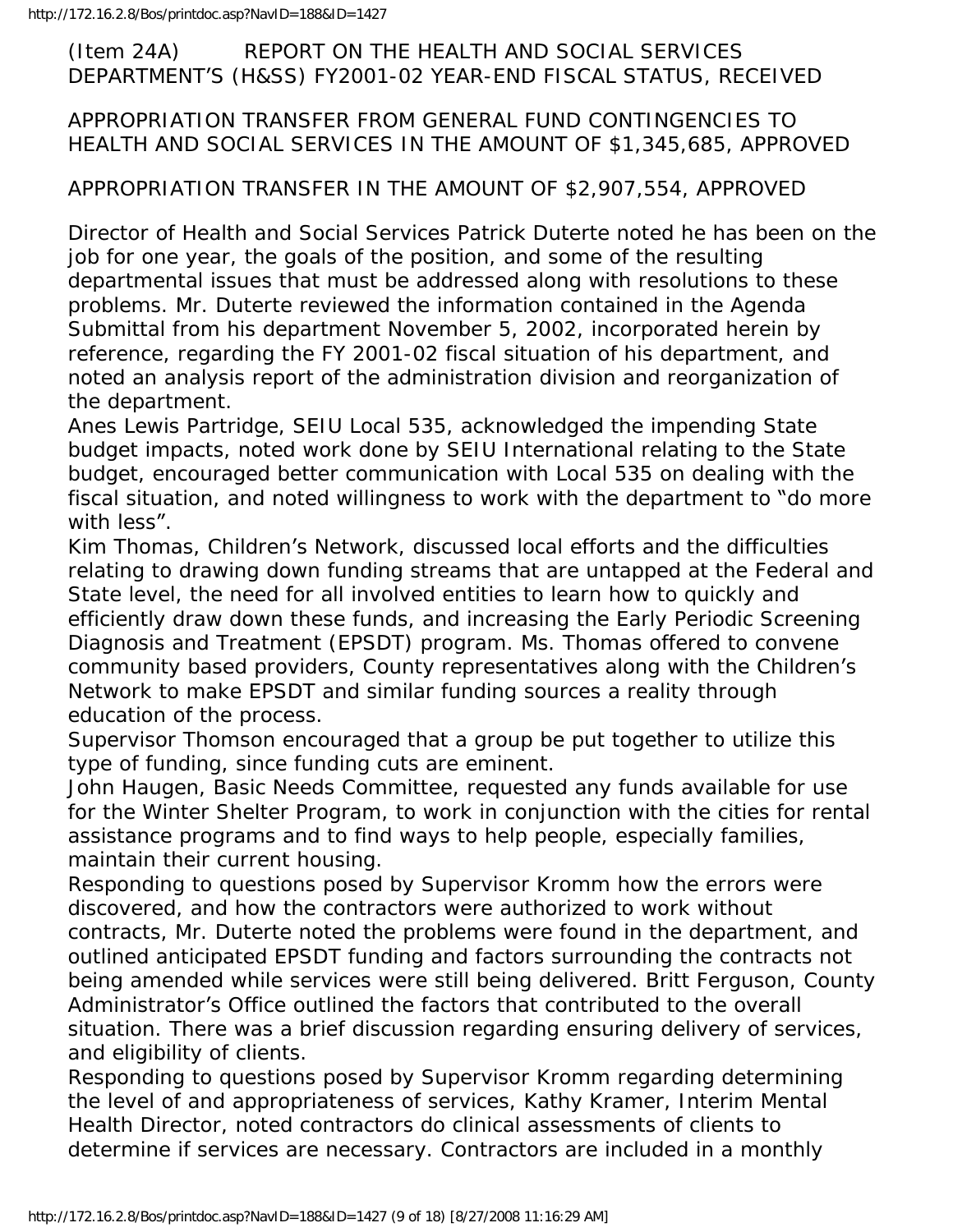#### (Item 24A) REPORT ON THE HEALTH AND SOCIAL SERVICES DEPARTMENT'S (H&SS) FY2001-02 YEAR-END FISCAL STATUS, RECEIVED

#### APPROPRIATION TRANSFER FROM GENERAL FUND CONTINGENCIES TO HEALTH AND SOCIAL SERVICES IN THE AMOUNT OF \$1,345,685, APPROVED

#### APPROPRIATION TRANSFER IN THE AMOUNT OF \$2,907,554, APPROVED

Director of Health and Social Services Patrick Duterte noted he has been on the job for one year, the goals of the position, and some of the resulting departmental issues that must be addressed along with resolutions to these problems. Mr. Duterte reviewed the information contained in the Agenda Submittal from his department November 5, 2002, incorporated herein by reference, regarding the FY 2001-02 fiscal situation of his department, and noted an analysis report of the administration division and reorganization of the department.

Anes Lewis Partridge, SEIU Local 535, acknowledged the impending State budget impacts, noted work done by SEIU International relating to the State budget, encouraged better communication with Local 535 on dealing with the fiscal situation, and noted willingness to work with the department to "do more with less".

Kim Thomas, Children's Network, discussed local efforts and the difficulties relating to drawing down funding streams that are untapped at the Federal and State level, the need for all involved entities to learn how to quickly and efficiently draw down these funds, and increasing the Early Periodic Screening Diagnosis and Treatment (EPSDT) program. Ms. Thomas offered to convene community based providers, County representatives along with the Children's Network to make EPSDT and similar funding sources a reality through education of the process.

Supervisor Thomson encouraged that a group be put together to utilize this type of funding, since funding cuts are eminent.

John Haugen, Basic Needs Committee, requested any funds available for use for the Winter Shelter Program, to work in conjunction with the cities for rental assistance programs and to find ways to help people, especially families, maintain their current housing.

Responding to questions posed by Supervisor Kromm how the errors were discovered, and how the contractors were authorized to work without contracts, Mr. Duterte noted the problems were found in the department, and outlined anticipated EPSDT funding and factors surrounding the contracts not being amended while services were still being delivered. Britt Ferguson, County Administrator's Office outlined the factors that contributed to the overall situation. There was a brief discussion regarding ensuring delivery of services, and eligibility of clients.

Responding to questions posed by Supervisor Kromm regarding determining the level of and appropriateness of services, Kathy Kramer, Interim Mental Health Director, noted contractors do clinical assessments of clients to determine if services are necessary. Contractors are included in a monthly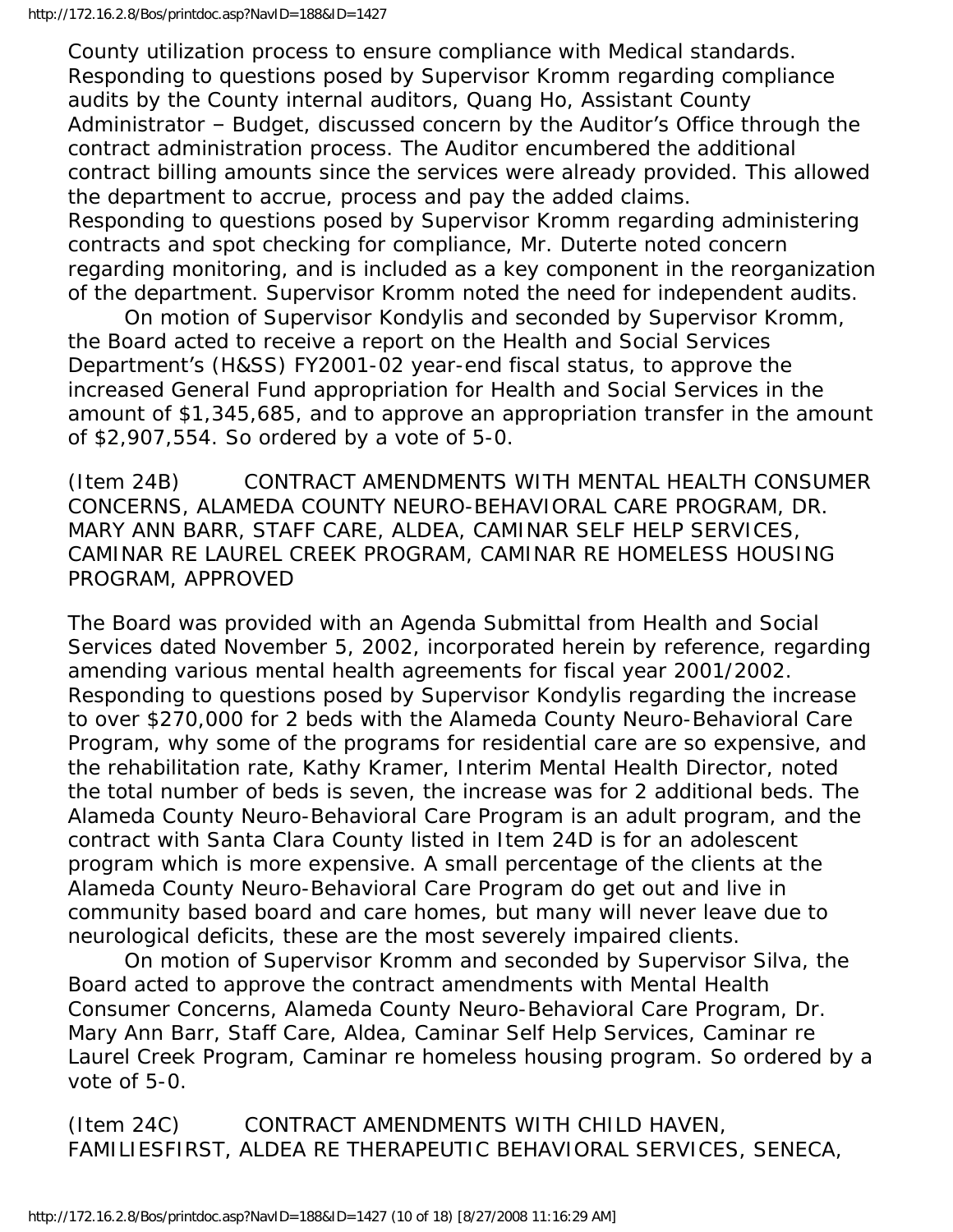County utilization process to ensure compliance with Medical standards. Responding to questions posed by Supervisor Kromm regarding compliance audits by the County internal auditors, Quang Ho, Assistant County Administrator – Budget, discussed concern by the Auditor's Office through the contract administration process. The Auditor encumbered the additional contract billing amounts since the services were already provided. This allowed the department to accrue, process and pay the added claims. Responding to questions posed by Supervisor Kromm regarding administering contracts and spot checking for compliance, Mr. Duterte noted concern regarding monitoring, and is included as a key component in the reorganization of the department. Supervisor Kromm noted the need for independent audits.

 On motion of Supervisor Kondylis and seconded by Supervisor Kromm, the Board acted to receive a report on the Health and Social Services Department's (H&SS) FY2001-02 year-end fiscal status, to approve the increased General Fund appropriation for Health and Social Services in the amount of \$1,345,685, and to approve an appropriation transfer in the amount of \$2,907,554. So ordered by a vote of 5-0.

(Item 24B) CONTRACT AMENDMENTS WITH MENTAL HEALTH CONSUMER CONCERNS, ALAMEDA COUNTY NEURO-BEHAVIORAL CARE PROGRAM, DR. MARY ANN BARR, STAFF CARE, ALDEA, CAMINAR SELF HELP SERVICES, CAMINAR RE LAUREL CREEK PROGRAM, CAMINAR RE HOMELESS HOUSING PROGRAM, APPROVED

The Board was provided with an Agenda Submittal from Health and Social Services dated November 5, 2002, incorporated herein by reference, regarding amending various mental health agreements for fiscal year 2001/2002. Responding to questions posed by Supervisor Kondylis regarding the increase to over \$270,000 for 2 beds with the Alameda County Neuro-Behavioral Care Program, why some of the programs for residential care are so expensive, and the rehabilitation rate, Kathy Kramer, Interim Mental Health Director, noted the total number of beds is seven, the increase was for 2 additional beds. The Alameda County Neuro-Behavioral Care Program is an adult program, and the contract with Santa Clara County listed in Item 24D is for an adolescent program which is more expensive. A small percentage of the clients at the Alameda County Neuro-Behavioral Care Program do get out and live in community based board and care homes, but many will never leave due to neurological deficits, these are the most severely impaired clients.

 On motion of Supervisor Kromm and seconded by Supervisor Silva, the Board acted to approve the contract amendments with Mental Health Consumer Concerns, Alameda County Neuro-Behavioral Care Program, Dr. Mary Ann Barr, Staff Care, Aldea, Caminar Self Help Services, Caminar re Laurel Creek Program, Caminar re homeless housing program. So ordered by a vote of 5-0.

(Item 24C) CONTRACT AMENDMENTS WITH CHILD HAVEN, FAMILIESFIRST, ALDEA RE THERAPEUTIC BEHAVIORAL SERVICES, SENECA,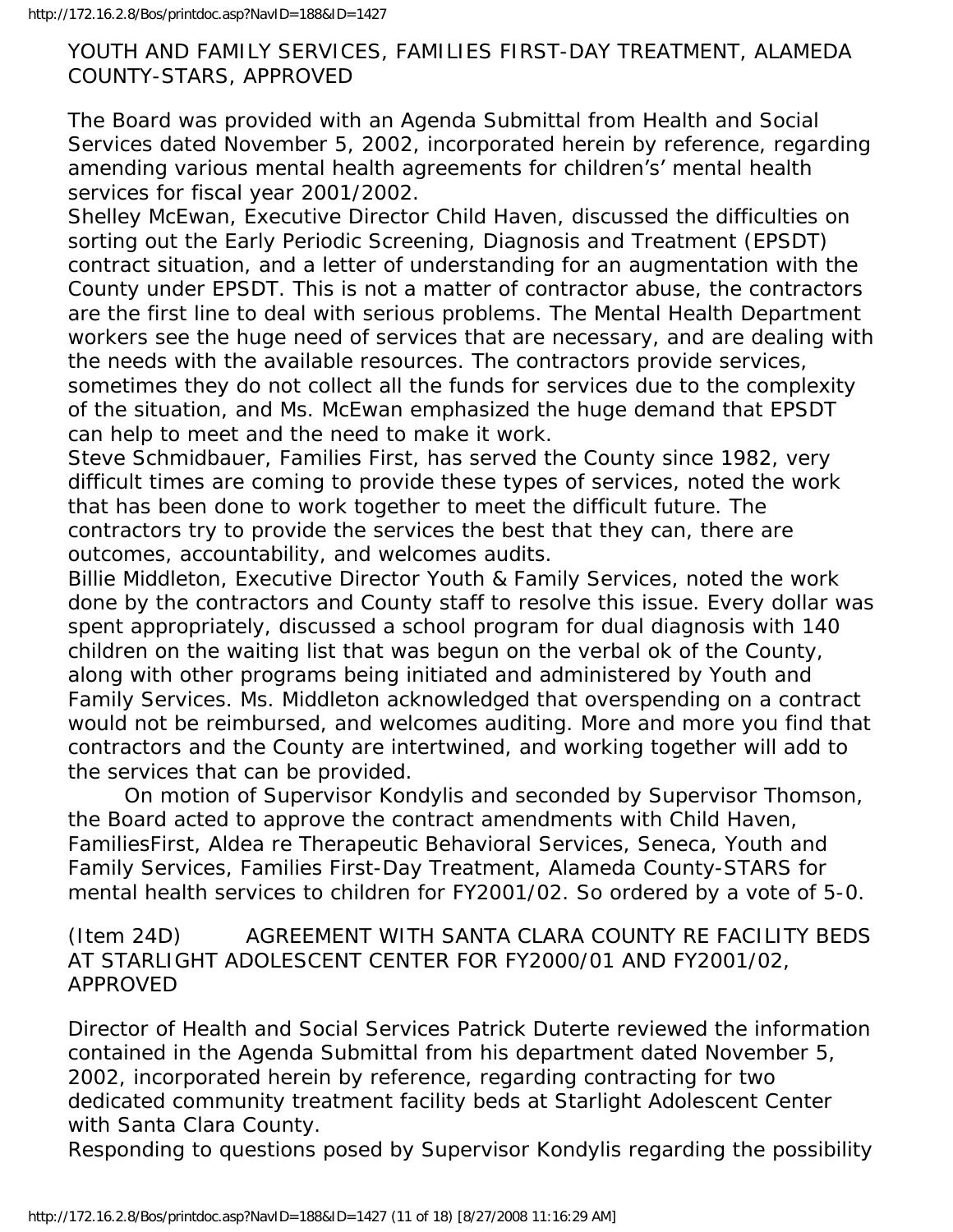#### YOUTH AND FAMILY SERVICES, FAMILIES FIRST-DAY TREATMENT, ALAMEDA COUNTY-STARS, APPROVED

The Board was provided with an Agenda Submittal from Health and Social Services dated November 5, 2002, incorporated herein by reference, regarding amending various mental health agreements for children's' mental health services for fiscal year 2001/2002.

Shelley McEwan, Executive Director Child Haven, discussed the difficulties on sorting out the Early Periodic Screening, Diagnosis and Treatment (EPSDT) contract situation, and a letter of understanding for an augmentation with the County under EPSDT. This is not a matter of contractor abuse, the contractors are the first line to deal with serious problems. The Mental Health Department workers see the huge need of services that are necessary, and are dealing with the needs with the available resources. The contractors provide services, sometimes they do not collect all the funds for services due to the complexity of the situation, and Ms. McEwan emphasized the huge demand that EPSDT can help to meet and the need to make it work.

Steve Schmidbauer, Families First, has served the County since 1982, very difficult times are coming to provide these types of services, noted the work that has been done to work together to meet the difficult future. The contractors try to provide the services the best that they can, there are outcomes, accountability, and welcomes audits.

Billie Middleton, Executive Director Youth & Family Services, noted the work done by the contractors and County staff to resolve this issue. Every dollar was spent appropriately, discussed a school program for dual diagnosis with 140 children on the waiting list that was begun on the verbal ok of the County, along with other programs being initiated and administered by Youth and Family Services. Ms. Middleton acknowledged that overspending on a contract would not be reimbursed, and welcomes auditing. More and more you find that contractors and the County are intertwined, and working together will add to the services that can be provided.

 On motion of Supervisor Kondylis and seconded by Supervisor Thomson, the Board acted to approve the contract amendments with Child Haven, FamiliesFirst, Aldea re Therapeutic Behavioral Services, Seneca, Youth and Family Services, Families First-Day Treatment, Alameda County-STARS for mental health services to children for FY2001/02. So ordered by a vote of 5-0.

(Item 24D) AGREEMENT WITH SANTA CLARA COUNTY RE FACILITY BEDS AT STARLIGHT ADOLESCENT CENTER FOR FY2000/01 AND FY2001/02, APPROVED

Director of Health and Social Services Patrick Duterte reviewed the information contained in the Agenda Submittal from his department dated November 5, 2002, incorporated herein by reference, regarding contracting for two dedicated community treatment facility beds at Starlight Adolescent Center with Santa Clara County.

Responding to questions posed by Supervisor Kondylis regarding the possibility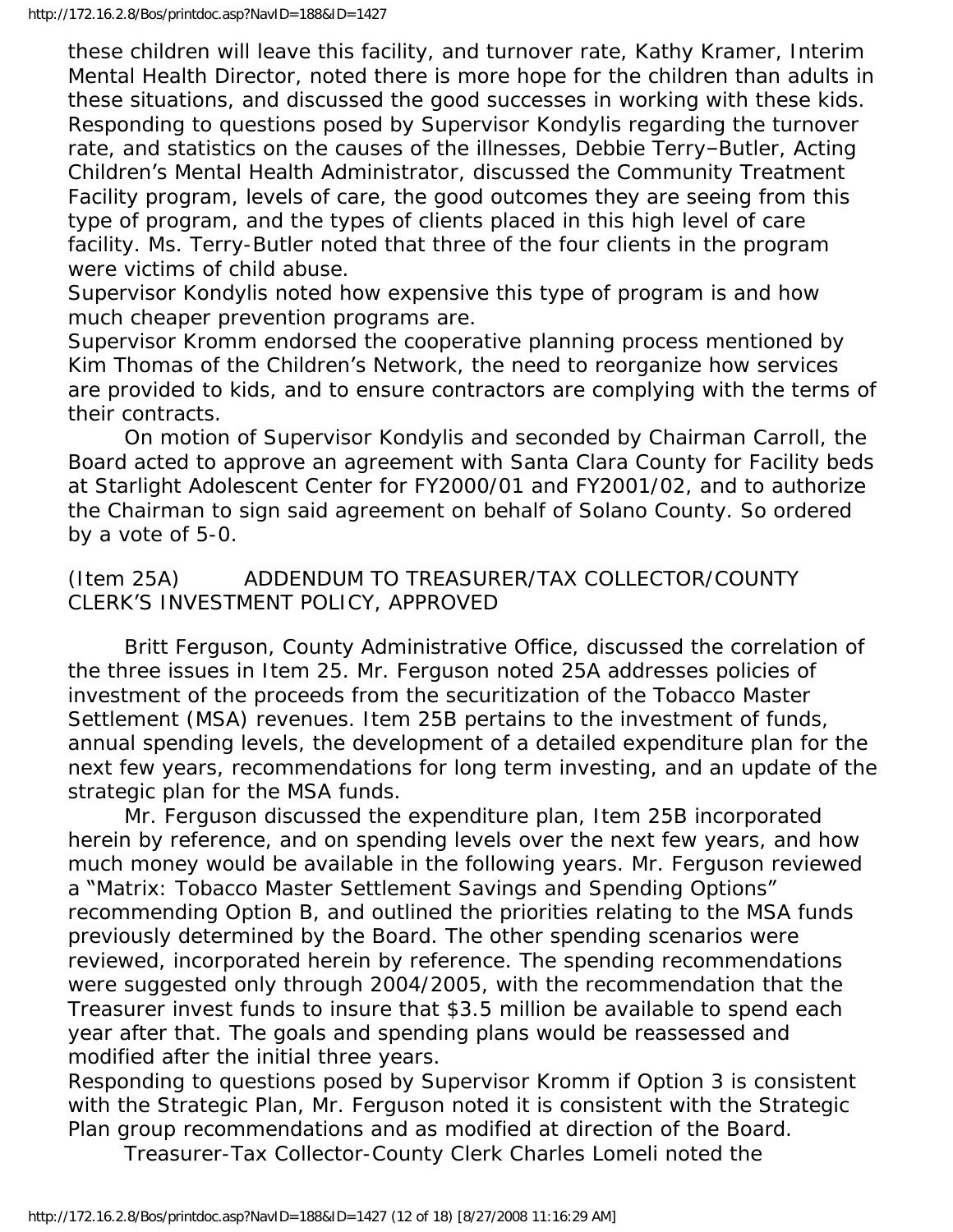these children will leave this facility, and turnover rate, Kathy Kramer, Interim Mental Health Director, noted there is more hope for the children than adults in these situations, and discussed the good successes in working with these kids. Responding to questions posed by Supervisor Kondylis regarding the turnover rate, and statistics on the causes of the illnesses, Debbie Terry–Butler, Acting Children's Mental Health Administrator, discussed the Community Treatment Facility program, levels of care, the good outcomes they are seeing from this type of program, and the types of clients placed in this high level of care facility. Ms. Terry-Butler noted that three of the four clients in the program were victims of child abuse.

Supervisor Kondylis noted how expensive this type of program is and how much cheaper prevention programs are.

Supervisor Kromm endorsed the cooperative planning process mentioned by Kim Thomas of the Children's Network, the need to reorganize how services are provided to kids, and to ensure contractors are complying with the terms of their contracts.

 On motion of Supervisor Kondylis and seconded by Chairman Carroll, the Board acted to approve an agreement with Santa Clara County for Facility beds at Starlight Adolescent Center for FY2000/01 and FY2001/02, and to authorize the Chairman to sign said agreement on behalf of Solano County. So ordered by a vote of 5-0.

(Item 25A) ADDENDUM TO TREASURER/TAX COLLECTOR/COUNTY CLERK'S INVESTMENT POLICY, APPROVED

 Britt Ferguson, County Administrative Office, discussed the correlation of the three issues in Item 25. Mr. Ferguson noted 25A addresses policies of investment of the proceeds from the securitization of the Tobacco Master Settlement (MSA) revenues. Item 25B pertains to the investment of funds, annual spending levels, the development of a detailed expenditure plan for the next few years, recommendations for long term investing, and an update of the strategic plan for the MSA funds.

 Mr. Ferguson discussed the expenditure plan, Item 25B incorporated herein by reference, and on spending levels over the next few years, and how much money would be available in the following years. Mr. Ferguson reviewed a "Matrix: Tobacco Master Settlement Savings and Spending Options" recommending Option B, and outlined the priorities relating to the MSA funds previously determined by the Board. The other spending scenarios were reviewed, incorporated herein by reference. The spending recommendations were suggested only through 2004/2005, with the recommendation that the Treasurer invest funds to insure that \$3.5 million be available to spend each year after that. The goals and spending plans would be reassessed and modified after the initial three years.

Responding to questions posed by Supervisor Kromm if Option 3 is consistent with the Strategic Plan, Mr. Ferguson noted it is consistent with the Strategic Plan group recommendations and as modified at direction of the Board.

Treasurer-Tax Collector-County Clerk Charles Lomeli noted the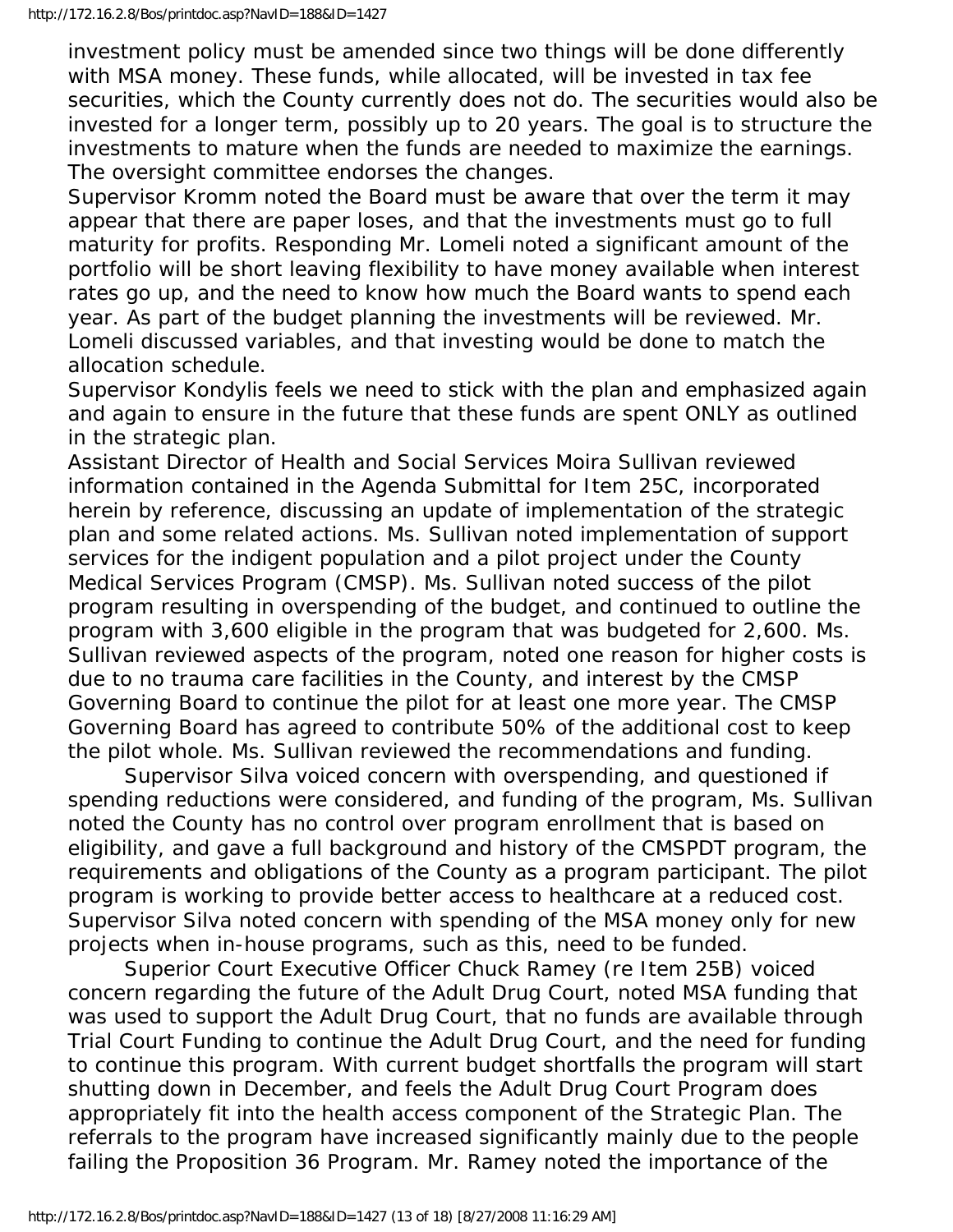investment policy must be amended since two things will be done differently with MSA money. These funds, while allocated, will be invested in tax fee securities, which the County currently does not do. The securities would also be invested for a longer term, possibly up to 20 years. The goal is to structure the investments to mature when the funds are needed to maximize the earnings. The oversight committee endorses the changes.

Supervisor Kromm noted the Board must be aware that over the term it may appear that there are paper loses, and that the investments must go to full maturity for profits. Responding Mr. Lomeli noted a significant amount of the portfolio will be short leaving flexibility to have money available when interest rates go up, and the need to know how much the Board wants to spend each year. As part of the budget planning the investments will be reviewed. Mr. Lomeli discussed variables, and that investing would be done to match the allocation schedule.

Supervisor Kondylis feels we need to stick with the plan and emphasized again and again to ensure in the future that these funds are spent ONLY as outlined in the strategic plan.

Assistant Director of Health and Social Services Moira Sullivan reviewed information contained in the Agenda Submittal for Item 25C, incorporated herein by reference, discussing an update of implementation of the strategic plan and some related actions. Ms. Sullivan noted implementation of support services for the indigent population and a pilot project under the County Medical Services Program (CMSP). Ms. Sullivan noted success of the pilot program resulting in overspending of the budget, and continued to outline the program with 3,600 eligible in the program that was budgeted for 2,600. Ms. Sullivan reviewed aspects of the program, noted one reason for higher costs is due to no trauma care facilities in the County, and interest by the CMSP Governing Board to continue the pilot for at least one more year. The CMSP Governing Board has agreed to contribute 50% of the additional cost to keep the pilot whole. Ms. Sullivan reviewed the recommendations and funding.

 Supervisor Silva voiced concern with overspending, and questioned if spending reductions were considered, and funding of the program, Ms. Sullivan noted the County has no control over program enrollment that is based on eligibility, and gave a full background and history of the CMSPDT program, the requirements and obligations of the County as a program participant. The pilot program is working to provide better access to healthcare at a reduced cost. Supervisor Silva noted concern with spending of the MSA money only for new projects when in-house programs, such as this, need to be funded.

 Superior Court Executive Officer Chuck Ramey (re Item 25B) voiced concern regarding the future of the Adult Drug Court, noted MSA funding that was used to support the Adult Drug Court, that no funds are available through Trial Court Funding to continue the Adult Drug Court, and the need for funding to continue this program. With current budget shortfalls the program will start shutting down in December, and feels the Adult Drug Court Program does appropriately fit into the health access component of the Strategic Plan. The referrals to the program have increased significantly mainly due to the people failing the Proposition 36 Program. Mr. Ramey noted the importance of the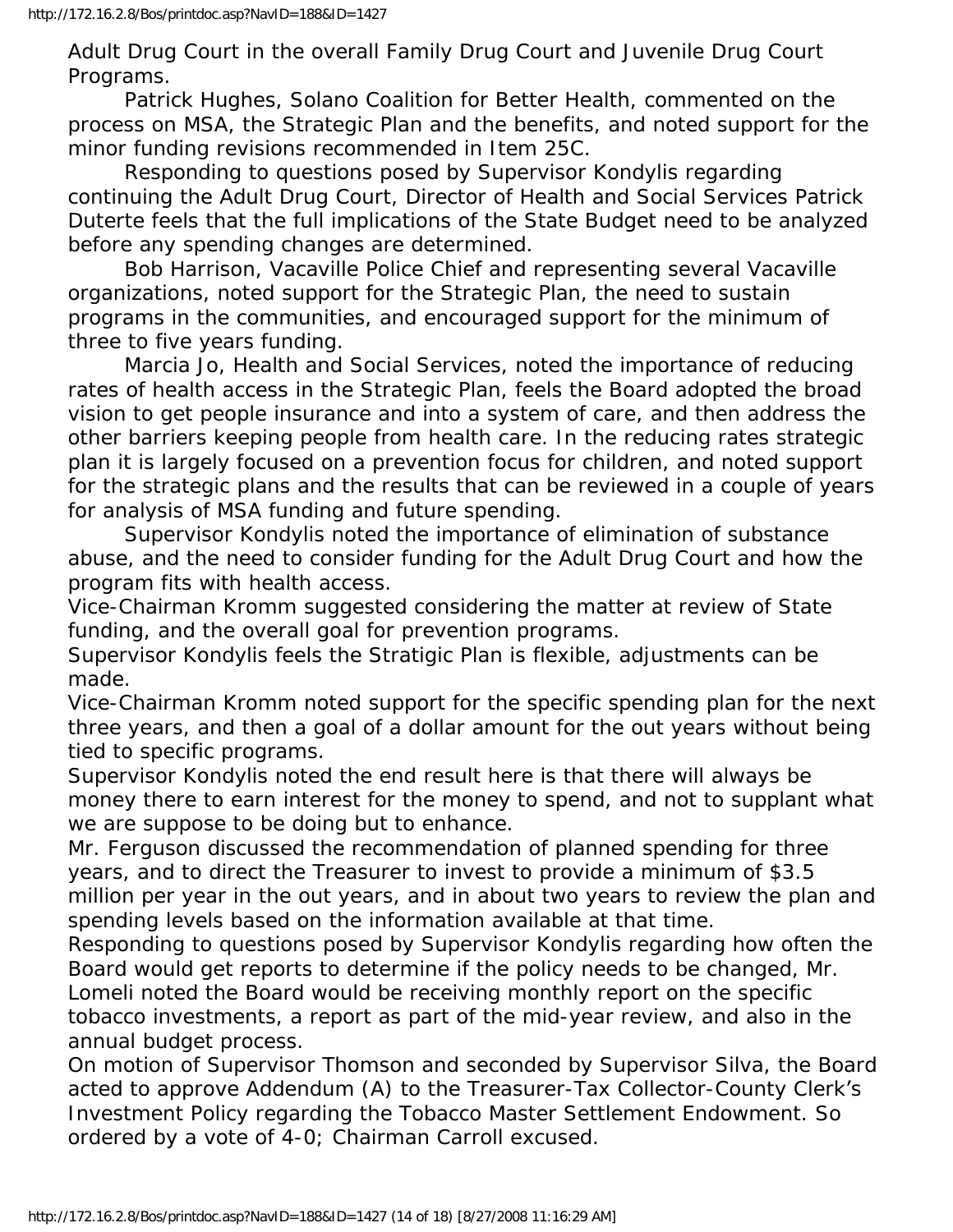Adult Drug Court in the overall Family Drug Court and Juvenile Drug Court Programs.

 Patrick Hughes, Solano Coalition for Better Health, commented on the process on MSA, the Strategic Plan and the benefits, and noted support for the minor funding revisions recommended in Item 25C.

 Responding to questions posed by Supervisor Kondylis regarding continuing the Adult Drug Court, Director of Health and Social Services Patrick Duterte feels that the full implications of the State Budget need to be analyzed before any spending changes are determined.

 Bob Harrison, Vacaville Police Chief and representing several Vacaville organizations, noted support for the Strategic Plan, the need to sustain programs in the communities, and encouraged support for the minimum of three to five years funding.

 Marcia Jo, Health and Social Services, noted the importance of reducing rates of health access in the Strategic Plan, feels the Board adopted the broad vision to get people insurance and into a system of care, and then address the other barriers keeping people from health care. In the reducing rates strategic plan it is largely focused on a prevention focus for children, and noted support for the strategic plans and the results that can be reviewed in a couple of years for analysis of MSA funding and future spending.

 Supervisor Kondylis noted the importance of elimination of substance abuse, and the need to consider funding for the Adult Drug Court and how the program fits with health access.

Vice-Chairman Kromm suggested considering the matter at review of State funding, and the overall goal for prevention programs.

Supervisor Kondylis feels the Stratigic Plan is flexible, adjustments can be made.

Vice-Chairman Kromm noted support for the specific spending plan for the next three years, and then a goal of a dollar amount for the out years without being tied to specific programs.

Supervisor Kondylis noted the end result here is that there will always be money there to earn interest for the money to spend, and not to supplant what we are suppose to be doing but to enhance.

Mr. Ferguson discussed the recommendation of planned spending for three years, and to direct the Treasurer to invest to provide a minimum of \$3.5 million per year in the out years, and in about two years to review the plan and spending levels based on the information available at that time.

Responding to questions posed by Supervisor Kondylis regarding how often the Board would get reports to determine if the policy needs to be changed, Mr. Lomeli noted the Board would be receiving monthly report on the specific tobacco investments, a report as part of the mid-year review, and also in the annual budget process.

On motion of Supervisor Thomson and seconded by Supervisor Silva, the Board acted to approve Addendum (A) to the Treasurer-Tax Collector-County Clerk's Investment Policy regarding the Tobacco Master Settlement Endowment. So ordered by a vote of 4-0; Chairman Carroll excused.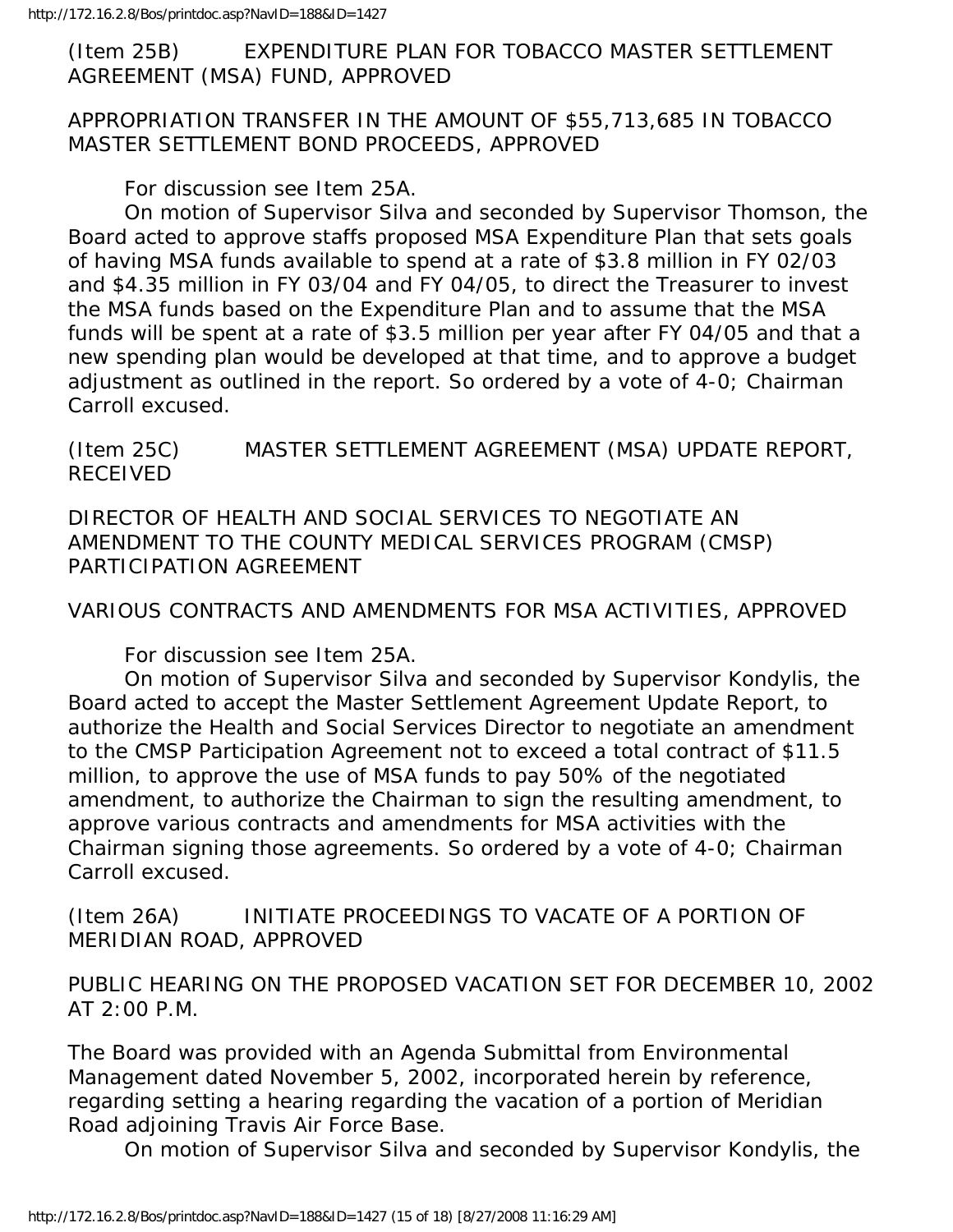(Item 25B) EXPENDITURE PLAN FOR TOBACCO MASTER SETTLEMENT AGREEMENT (MSA) FUND, APPROVED

APPROPRIATION TRANSFER IN THE AMOUNT OF \$55,713,685 IN TOBACCO MASTER SETTLEMENT BOND PROCEEDS, APPROVED

For discussion see Item 25A.

 On motion of Supervisor Silva and seconded by Supervisor Thomson, the Board acted to approve staffs proposed MSA Expenditure Plan that sets goals of having MSA funds available to spend at a rate of \$3.8 million in FY 02/03 and \$4.35 million in FY 03/04 and FY 04/05, to direct the Treasurer to invest the MSA funds based on the Expenditure Plan and to assume that the MSA funds will be spent at a rate of \$3.5 million per year after FY 04/05 and that a new spending plan would be developed at that time, and to approve a budget adjustment as outlined in the report. So ordered by a vote of 4-0; Chairman Carroll excused.

(Item 25C) MASTER SETTLEMENT AGREEMENT (MSA) UPDATE REPORT, RECEIVED

DIRECTOR OF HEALTH AND SOCIAL SERVICES TO NEGOTIATE AN AMENDMENT TO THE COUNTY MEDICAL SERVICES PROGRAM (CMSP) PARTICIPATION AGREEMENT

VARIOUS CONTRACTS AND AMENDMENTS FOR MSA ACTIVITIES, APPROVED

For discussion see Item 25A.

 On motion of Supervisor Silva and seconded by Supervisor Kondylis, the Board acted to accept the Master Settlement Agreement Update Report, to authorize the Health and Social Services Director to negotiate an amendment to the CMSP Participation Agreement not to exceed a total contract of \$11.5 million, to approve the use of MSA funds to pay 50% of the negotiated amendment, to authorize the Chairman to sign the resulting amendment, to approve various contracts and amendments for MSA activities with the Chairman signing those agreements. So ordered by a vote of 4-0; Chairman Carroll excused.

(Item 26A) INITIATE PROCEEDINGS TO VACATE OF A PORTION OF MERIDIAN ROAD, APPROVED

PUBLIC HEARING ON THE PROPOSED VACATION SET FOR DECEMBER 10, 2002 AT 2:00 P.M.

The Board was provided with an Agenda Submittal from Environmental Management dated November 5, 2002, incorporated herein by reference, regarding setting a hearing regarding the vacation of a portion of Meridian Road adjoining Travis Air Force Base.

On motion of Supervisor Silva and seconded by Supervisor Kondylis, the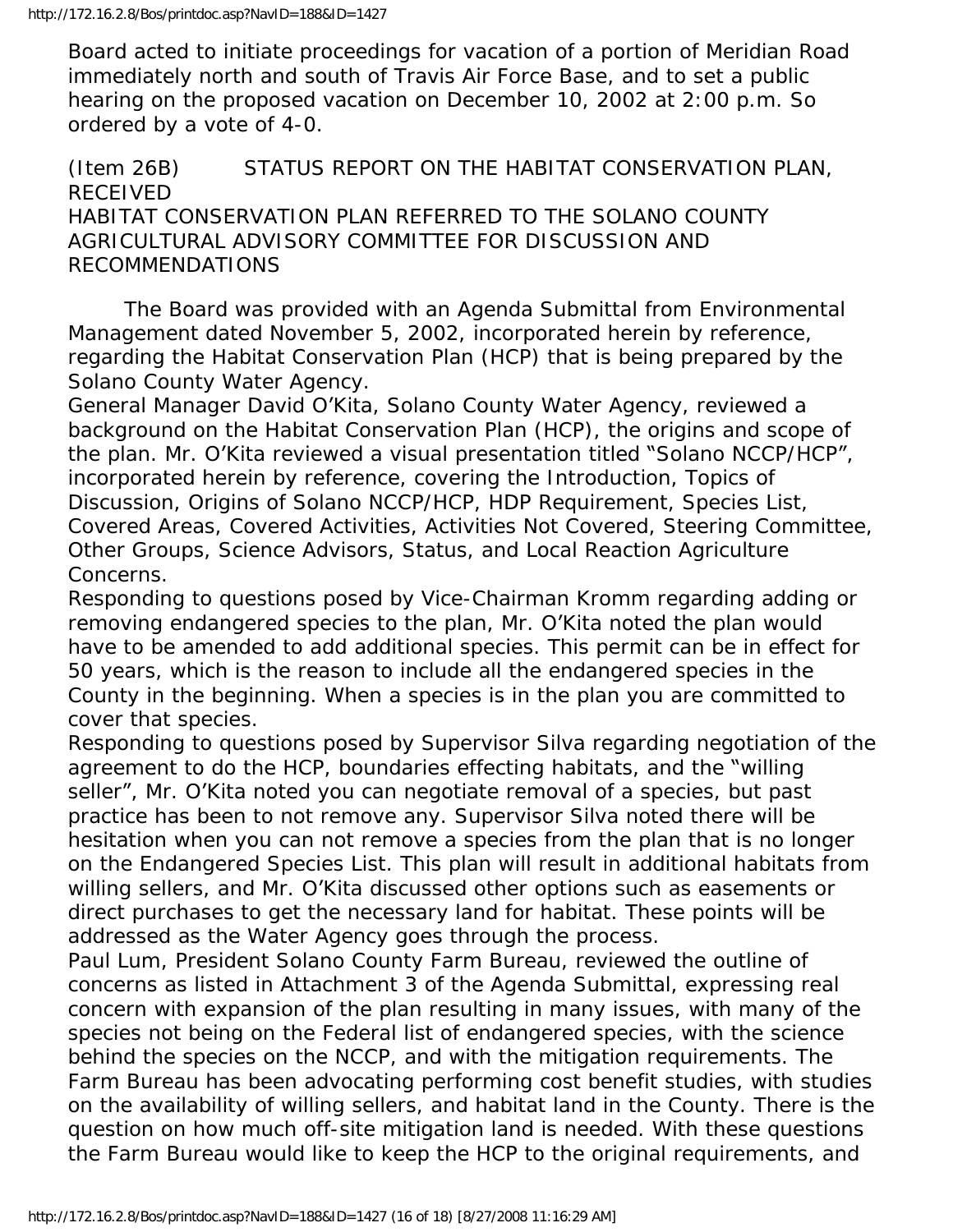Board acted to initiate proceedings for vacation of a portion of Meridian Road immediately north and south of Travis Air Force Base, and to set a public hearing on the proposed vacation on December 10, 2002 at 2:00 p.m. So ordered by a vote of 4-0.

#### (Item 26B) STATUS REPORT ON THE HABITAT CONSERVATION PLAN, RECEIVED HABITAT CONSERVATION PLAN REFERRED TO THE SOLANO COUNTY AGRICULTURAL ADVISORY COMMITTEE FOR DISCUSSION AND RECOMMENDATIONS

 The Board was provided with an Agenda Submittal from Environmental Management dated November 5, 2002, incorporated herein by reference, regarding the Habitat Conservation Plan (HCP) that is being prepared by the Solano County Water Agency.

General Manager David O'Kita, Solano County Water Agency, reviewed a background on the Habitat Conservation Plan (HCP), the origins and scope of the plan. Mr. O'Kita reviewed a visual presentation titled "Solano NCCP/HCP", incorporated herein by reference, covering the Introduction, Topics of Discussion, Origins of Solano NCCP/HCP, HDP Requirement, Species List, Covered Areas, Covered Activities, Activities Not Covered, Steering Committee, Other Groups, Science Advisors, Status, and Local Reaction Agriculture Concerns.

Responding to questions posed by Vice-Chairman Kromm regarding adding or removing endangered species to the plan, Mr. O'Kita noted the plan would have to be amended to add additional species. This permit can be in effect for 50 years, which is the reason to include all the endangered species in the County in the beginning. When a species is in the plan you are committed to cover that species.

Responding to questions posed by Supervisor Silva regarding negotiation of the agreement to do the HCP, boundaries effecting habitats, and the "willing seller", Mr. O'Kita noted you can negotiate removal of a species, but past practice has been to not remove any. Supervisor Silva noted there will be hesitation when you can not remove a species from the plan that is no longer on the Endangered Species List. This plan will result in additional habitats from willing sellers, and Mr. O'Kita discussed other options such as easements or direct purchases to get the necessary land for habitat. These points will be addressed as the Water Agency goes through the process.

Paul Lum, President Solano County Farm Bureau, reviewed the outline of concerns as listed in Attachment 3 of the Agenda Submittal, expressing real concern with expansion of the plan resulting in many issues, with many of the species not being on the Federal list of endangered species, with the science behind the species on the NCCP, and with the mitigation requirements. The Farm Bureau has been advocating performing cost benefit studies, with studies on the availability of willing sellers, and habitat land in the County. There is the question on how much off-site mitigation land is needed. With these questions the Farm Bureau would like to keep the HCP to the original requirements, and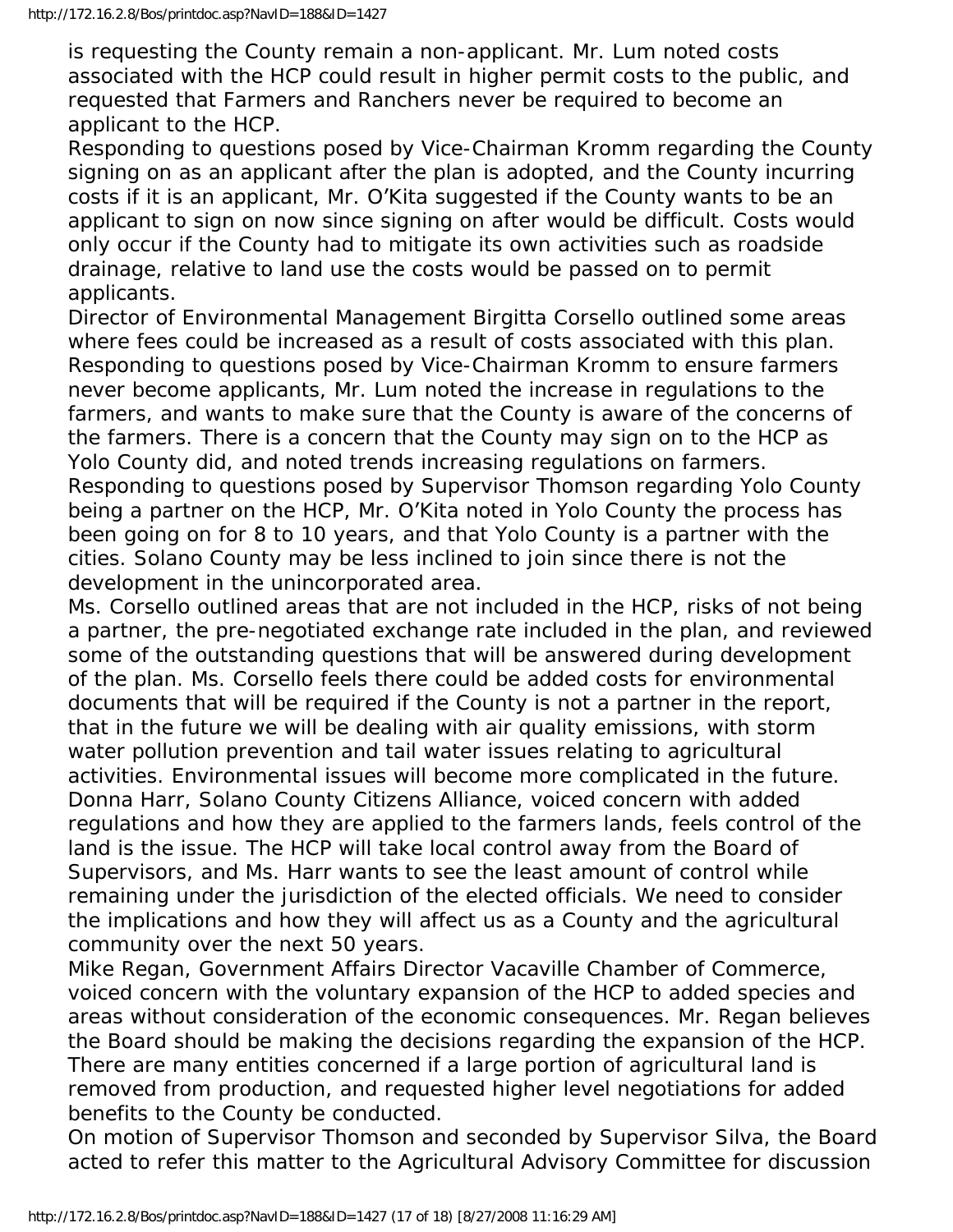is requesting the County remain a non-applicant. Mr. Lum noted costs associated with the HCP could result in higher permit costs to the public, and requested that Farmers and Ranchers never be required to become an applicant to the HCP.

Responding to questions posed by Vice-Chairman Kromm regarding the County signing on as an applicant after the plan is adopted, and the County incurring costs if it is an applicant, Mr. O'Kita suggested if the County wants to be an applicant to sign on now since signing on after would be difficult. Costs would only occur if the County had to mitigate its own activities such as roadside drainage, relative to land use the costs would be passed on to permit applicants.

Director of Environmental Management Birgitta Corsello outlined some areas where fees could be increased as a result of costs associated with this plan. Responding to questions posed by Vice-Chairman Kromm to ensure farmers never become applicants, Mr. Lum noted the increase in regulations to the farmers, and wants to make sure that the County is aware of the concerns of the farmers. There is a concern that the County may sign on to the HCP as Yolo County did, and noted trends increasing regulations on farmers. Responding to questions posed by Supervisor Thomson regarding Yolo County being a partner on the HCP, Mr. O'Kita noted in Yolo County the process has been going on for 8 to 10 years, and that Yolo County is a partner with the cities. Solano County may be less inclined to join since there is not the development in the unincorporated area.

Ms. Corsello outlined areas that are not included in the HCP, risks of not being a partner, the pre-negotiated exchange rate included in the plan, and reviewed some of the outstanding questions that will be answered during development of the plan. Ms. Corsello feels there could be added costs for environmental documents that will be required if the County is not a partner in the report, that in the future we will be dealing with air quality emissions, with storm water pollution prevention and tail water issues relating to agricultural activities. Environmental issues will become more complicated in the future. Donna Harr, Solano County Citizens Alliance, voiced concern with added regulations and how they are applied to the farmers lands, feels control of the land is the issue. The HCP will take local control away from the Board of Supervisors, and Ms. Harr wants to see the least amount of control while remaining under the jurisdiction of the elected officials. We need to consider the implications and how they will affect us as a County and the agricultural community over the next 50 years.

Mike Regan, Government Affairs Director Vacaville Chamber of Commerce, voiced concern with the voluntary expansion of the HCP to added species and areas without consideration of the economic consequences. Mr. Regan believes the Board should be making the decisions regarding the expansion of the HCP. There are many entities concerned if a large portion of agricultural land is removed from production, and requested higher level negotiations for added benefits to the County be conducted.

On motion of Supervisor Thomson and seconded by Supervisor Silva, the Board acted to refer this matter to the Agricultural Advisory Committee for discussion